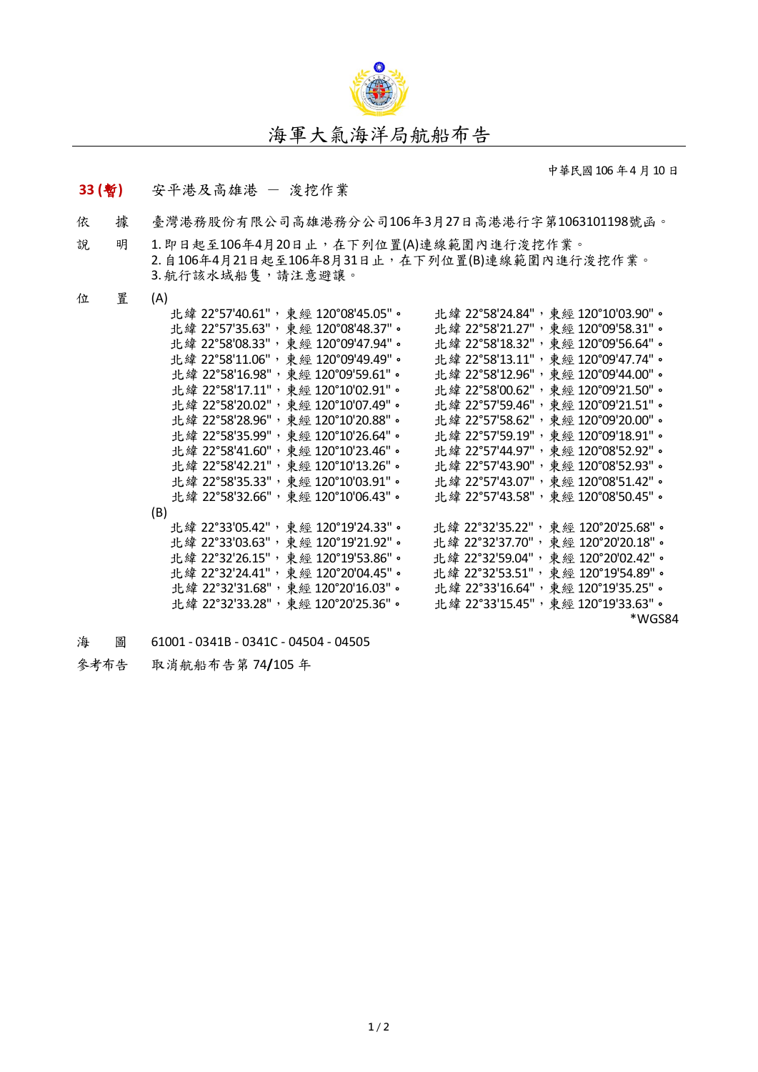

中華民國106年4月10日

## **33 (**暫**)** 安平港及高雄港 - 浚挖作業

- 依 據 臺灣港務股份有限公司高雄港務分公司106年3月27日高港港行字第1063101198號函。
- 說 明 1. 即日起至106年4月20日止,在下列位置(A)連線範圍內進行浚挖作業。 2.自106年4月21日起至106年8月31日止,在下列位置(B)連線範圍內進行浚挖作業。 3. 航行該水域船隻,請注意避讓。
- 位 置 (A)

|     |  |  | 北緯 22°57'40.61",東經 120°08'45.05"。  |  |  | 北緯 22°58'24.84",東經 120°10'03.90"。  |        |  |
|-----|--|--|------------------------------------|--|--|------------------------------------|--------|--|
|     |  |  | 北緯 22°57'35.63", 東經 120°08'48.37"。 |  |  | 北緯 22°58'21.27", 東經 120°09'58.31"。 |        |  |
|     |  |  | 北緯 22°58'08.33", 東經 120°09'47.94"。 |  |  | 北緯 22°58'18.32", 東經 120°09'56.64"。 |        |  |
|     |  |  | 北緯 22°58'11.06", 東經 120°09'49.49"。 |  |  | 北緯 22°58'13.11", 東經 120°09'47.74"。 |        |  |
|     |  |  | 北緯 22°58'16.98", 東經 120°09'59.61"。 |  |  | 北緯 22°58'12.96",東經 120°09'44.00"。  |        |  |
|     |  |  | 北緯 22°58'17.11", 東經 120°10'02.91"。 |  |  | 北緯 22°58'00.62", 東經 120°09'21.50"。 |        |  |
|     |  |  | 北緯 22°58'20.02", 東經 120°10'07.49"。 |  |  | 北緯 22°57'59.46", 東經 120°09'21.51"。 |        |  |
|     |  |  | 北緯 22°58'28.96",東經 120°10'20.88"。  |  |  | 北緯 22°57'58.62", 東經 120°09'20.00"。 |        |  |
|     |  |  | 北緯 22°58'35.99", 東經 120°10'26.64"。 |  |  | 北緯 22°57'59.19", 東經 120°09'18.91"。 |        |  |
|     |  |  | 北緯 22°58'41.60", 東經 120°10'23.46"。 |  |  | 北緯 22°57'44.97", 東經 120°08'52.92"。 |        |  |
|     |  |  | 北緯 22°58'42.21", 東經 120°10'13.26"。 |  |  | 北緯 22°57'43.90", 東經 120°08'52.93"。 |        |  |
|     |  |  | 北緯 22°58'35.33",東經 120°10'03.91"。  |  |  | 北緯 22°57'43.07", 東經 120°08'51.42"。 |        |  |
|     |  |  | 北緯 22°58'32.66", 東經 120°10'06.43"。 |  |  | 北緯 22°57'43.58", 東經 120°08'50.45"。 |        |  |
| (B) |  |  |                                    |  |  |                                    |        |  |
|     |  |  | 北緯 22°33'05.42",東經 120°19'24.33"。  |  |  | 北緯 22°32'35.22", 東經 120°20'25.68"。 |        |  |
|     |  |  | 北緯 22°33'03.63", 東經 120°19'21.92"。 |  |  | 北緯 22°32'37.70", 東經 120°20'20.18"。 |        |  |
|     |  |  | 北緯 22°32'26.15", 東經 120°19'53.86"。 |  |  | 北緯 22°32'59.04", 東經 120°20'02.42"。 |        |  |
|     |  |  | 北緯 22°32'24.41", 東經 120°20'04.45"。 |  |  | 北緯 22°32'53.51", 東經 120°19'54.89"。 |        |  |
|     |  |  | 北緯 22°32'31.68",東經 120°20'16.03"。  |  |  | 北緯 22°33'16.64",東經 120°19'35.25"。  |        |  |
|     |  |  | 北緯 22°32'33.28", 東經 120°20'25.36"。 |  |  | 北緯 22°33'15.45", 東經 120°19'33.63"。 |        |  |
|     |  |  |                                    |  |  |                                    | *WGS84 |  |

海 圖 61001 - 0341B - 0341C - 04504 - 04505

參考布告 取消航船布告第 74**/**105 年